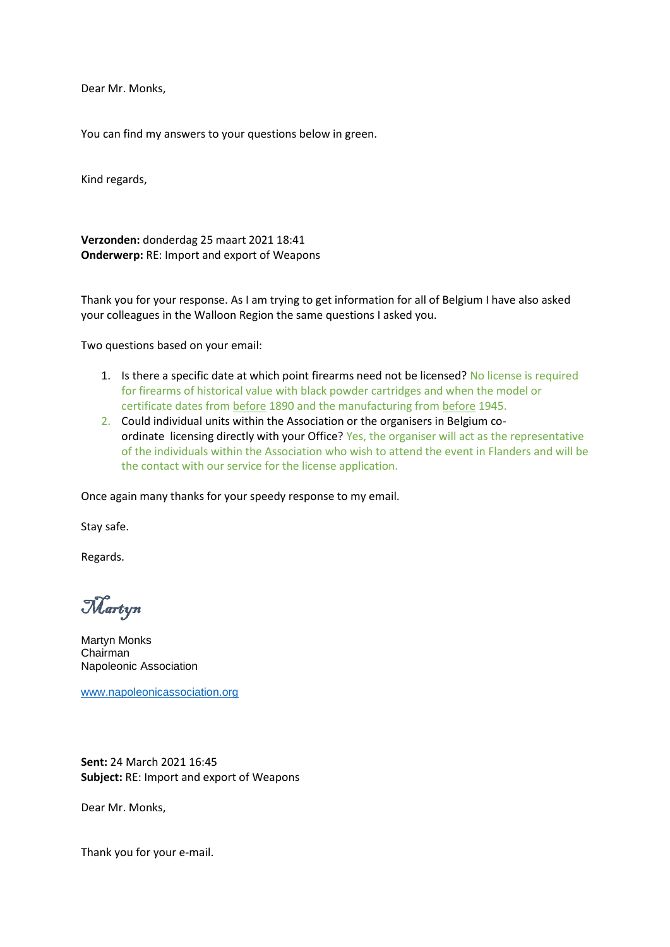Dear Mr. Monks,

You can find my answers to your questions below in green.

Kind regards,

**Verzonden:** donderdag 25 maart 2021 18:41 **Onderwerp:** RE: Import and export of Weapons

Thank you for your response. As I am trying to get information for all of Belgium I have also asked your colleagues in the Walloon Region the same questions I asked you.

Two questions based on your email:

- 1. Is there a specific date at which point firearms need not be licensed? No license is required for firearms of historical value with black powder cartridges and when the model or certificate dates from before 1890 and the manufacturing from before 1945.
- 2. Could individual units within the Association or the organisers in Belgium coordinate licensing directly with your Office? Yes, the organiser will act as the representative of the individuals within the Association who wish to attend the event in Flanders and will be the contact with our service for the license application.

Once again many thanks for your speedy response to my email.

Stay safe.

Regards.

Martyn

Martyn Monks Chairman Napoleonic Association

[www.napoleonicassociation.org](https://eur04.safelinks.protection.outlook.com/?url=http%3A%2F%2Fwww.napoleonicassociation.org%2F&data=04%7C01%7Craissa.vanfleteren%40buza.vlaanderen%7Caa6c20f022584bfbb1d408d8efb520c0%7Ce3efd7b124444043b4d6461d431e11f1%7C0%7C0%7C637522908545939810%7CUnknown%7CTWFpbGZsb3d8eyJWIjoiMC4wLjAwMDAiLCJQIjoiV2luMzIiLCJBTiI6Ik1haWwiLCJXVCI6Mn0%3D%7C1000&sdata=sKm9kLpjNllItTlO%2B5RGi6wjOHYfRcfCaP1vXS0igOk%3D&reserved=0)

**Sent:** 24 March 2021 16:45 **Subject:** RE: Import and export of Weapons

Dear Mr. Monks,

Thank you for your e-mail.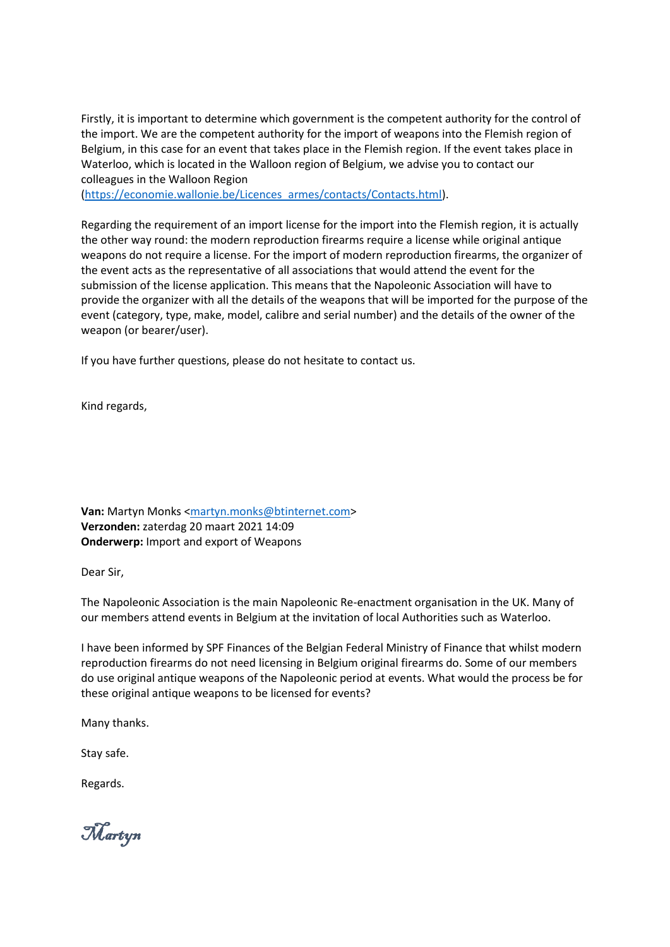Firstly, it is important to determine which government is the competent authority for the control of the import. We are the competent authority for the import of weapons into the Flemish region of Belgium, in this case for an event that takes place in the Flemish region. If the event takes place in Waterloo, which is located in the Walloon region of Belgium, we advise you to contact our colleagues in the Walloon Region

[\(https://economie.wallonie.be/Licences\\_armes/contacts/Contacts.html\)](https://eur04.safelinks.protection.outlook.com/?url=https%3A%2F%2Feconomie.wallonie.be%2FLicences_armes%2Fcontacts%2FContacts.html&data=04%7C01%7Craissa.vanfleteren%40buza.vlaanderen%7Caa6c20f022584bfbb1d408d8efb520c0%7Ce3efd7b124444043b4d6461d431e11f1%7C0%7C0%7C637522908545949804%7CUnknown%7CTWFpbGZsb3d8eyJWIjoiMC4wLjAwMDAiLCJQIjoiV2luMzIiLCJBTiI6Ik1haWwiLCJXVCI6Mn0%3D%7C1000&sdata=GQWq5kymfekUFc1DuZwxdbX3K7loWx7%2Ft9zdzxqiT%2FI%3D&reserved=0).

Regarding the requirement of an import license for the import into the Flemish region, it is actually the other way round: the modern reproduction firearms require a license while original antique weapons do not require a license. For the import of modern reproduction firearms, the organizer of the event acts as the representative of all associations that would attend the event for the submission of the license application. This means that the Napoleonic Association will have to provide the organizer with all the details of the weapons that will be imported for the purpose of the event (category, type, make, model, calibre and serial number) and the details of the owner of the weapon (or bearer/user).

If you have further questions, please do not hesitate to contact us.

Kind regards,

**Van:** Martyn Monks [<martyn.monks@btinternet.com>](mailto:martyn.monks@btinternet.com) **Verzonden:** zaterdag 20 maart 2021 14:09 **Onderwerp:** Import and export of Weapons

Dear Sir,

The Napoleonic Association is the main Napoleonic Re-enactment organisation in the UK. Many of our members attend events in Belgium at the invitation of local Authorities such as Waterloo.

I have been informed by SPF Finances of the Belgian Federal Ministry of Finance that whilst modern reproduction firearms do not need licensing in Belgium original firearms do. Some of our members do use original antique weapons of the Napoleonic period at events. What would the process be for these original antique weapons to be licensed for events?

Many thanks.

Stay safe.

Regards.

Martyn